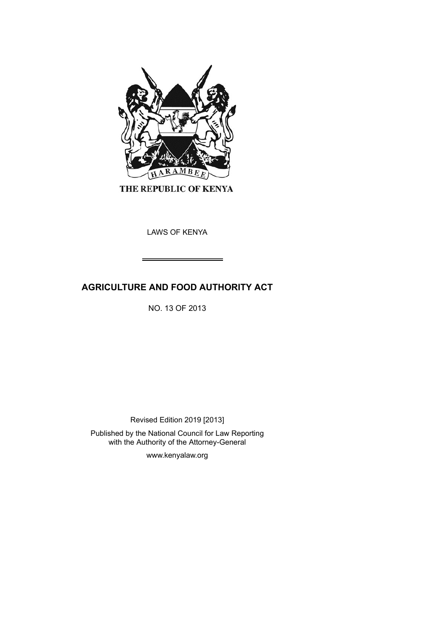

THE REPUBLIC OF KENYA

LAWS OF KENYA

# **AGRICULTURE AND FOOD AUTHORITY ACT**

NO. 13 OF 2013

Revised Edition 2019 [2013]

Published by the National Council for Law Reporting with the Authority of the Attorney-General

www.kenyalaw.org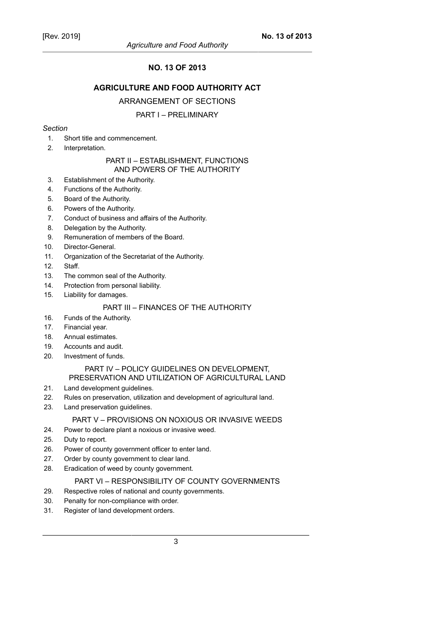## **NO. 13 OF 2013**

## **AGRICULTURE AND FOOD AUTHORITY ACT**

### ARRANGEMENT OF SECTIONS

## PART I – PRELIMINARY

### *Section*

- 1. Short title and commencement.
- 2. Interpretation.

#### PART II – ESTABLISHMENT, FUNCTIONS AND POWERS OF THE AUTHORITY

- 3. Establishment of the Authority.
- 4. Functions of the Authority.
- 5. Board of the Authority.
- 6. Powers of the Authority.
- 7. Conduct of business and affairs of the Authority.
- 8. Delegation by the Authority.
- 9. Remuneration of members of the Board.
- 10. Director-General.
- 11. Organization of the Secretariat of the Authority.
- 12. Staff.
- 13. The common seal of the Authority.
- 14. Protection from personal liability.
- 15. Liability for damages.

## PART III – FINANCES OF THE AUTHORITY

- 16. Funds of the Authority.
- 17. Financial year.
- 18. Annual estimates.
- 19. Accounts and audit.
- 20. Investment of funds.

## PART IV – POLICY GUIDELINES ON DEVELOPMENT, PRESERVATION AND UTILIZATION OF AGRICULTURAL LAND

- 21. Land development guidelines.
- 22. Rules on preservation, utilization and development of agricultural land.
- 23. Land preservation guidelines.

## PART V – PROVISIONS ON NOXIOUS OR INVASIVE WEEDS

- 24. Power to declare plant a noxious or invasive weed.
- 25. Duty to report.
- 26. Power of county government officer to enter land.
- 27. Order by county government to clear land.
- 28. Eradication of weed by county government.

## PART VI – RESPONSIBILITY OF COUNTY GOVERNMENTS

- 29. Respective roles of national and county governments.
- 30. Penalty for non-compliance with order.
- 31. Register of land development orders.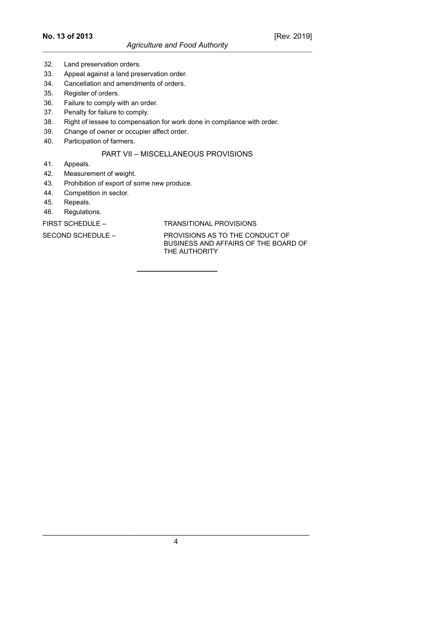- 32. Land preservation orders.
- 33. Appeal against a land preservation order.
- 34. Cancellation and amendments of orders.
- 35. Register of orders.
- 36. Failure to comply with an order.
- 37. Penalty for failure to comply.
- 38. Right of lessee to compensation for work done in compliance with order.
- 39. Change of owner or occupier affect order.
- 40. Participation of farmers.

## PART VII – MISCELLANEOUS PROVISIONS

- 41. Appeals.
- 42. Measurement of weight.
- 43. Prohibition of export of some new produce.
- 44. Competition in sector.
- 45. Repeals.
- 46. Regulations.

FIRST SCHEDULE – TRANSITIONAL PROVISIONS

SECOND SCHEDULE – PROVISIONS AS TO THE CONDUCT OF BUSINESS AND AFFAIRS OF THE BOARD OF THE AUTHORITY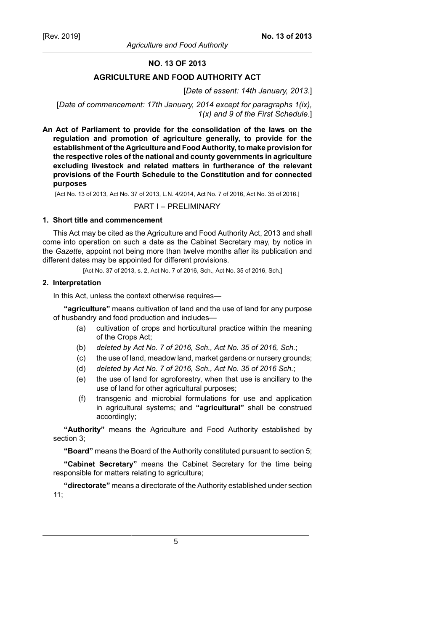## **NO. 13 OF 2013**

### **AGRICULTURE AND FOOD AUTHORITY ACT**

#### [*Date of assent: 14th January, 2013*.]

[*Date of commencement: 17th January, 2014 except for paragraphs 1(ix), 1(x) and 9 of the First Schedule*.]

**An Act of Parliament to provide for the consolidation of the laws on the regulation and promotion of agriculture generally, to provide for the establishment of the Agriculture and Food Authority, to make provision for the respective roles of the national and county governments in agriculture excluding livestock and related matters in furtherance of the relevant provisions of the Fourth Schedule to the Constitution and for connected purposes**

[Act No. 13 of 2013, Act No. 37 of 2013, L.N. 4/2014, Act No. 7 of 2016, Act No. 35 of 2016.]

#### PART I – PRELIMINARY

### **1. Short title and commencement**

This Act may be cited as the Agriculture and Food Authority Act, 2013 and shall come into operation on such a date as the Cabinet Secretary may, by notice in the *Gazette*, appoint not being more than twelve months after its publication and different dates may be appointed for different provisions.

[Act No. 37 of 2013, s. 2, Act No. 7 of 2016, Sch., Act No. 35 of 2016, Sch.]

### **2. Interpretation**

In this Act, unless the context otherwise requires—

**"agriculture"** means cultivation of land and the use of land for any purpose of husbandry and food production and includes—

- (a) cultivation of crops and horticultural practice within the meaning of the Crops Act;
- (b) *deleted by Act No. 7 of 2016, Sch., Act No. 35 of 2016, Sch.*;
- (c) the use of land, meadow land, market gardens or nursery grounds;
- (d) *deleted by Act No. 7 of 2016, Sch., Act No. 35 of 2016 Sch.*;
- (e) the use of land for agroforestry, when that use is ancillary to the use of land for other agricultural purposes;
- (f) transgenic and microbial formulations for use and application in agricultural systems; and **"agricultural"** shall be construed accordingly;

**"Authority"** means the Agriculture and Food Authority established by section 3;

**"Board"** means the Board of the Authority constituted pursuant to section 5;

**"Cabinet Secretary"** means the Cabinet Secretary for the time being responsible for matters relating to agriculture;

**"directorate"** means a directorate of the Authority established under section 11;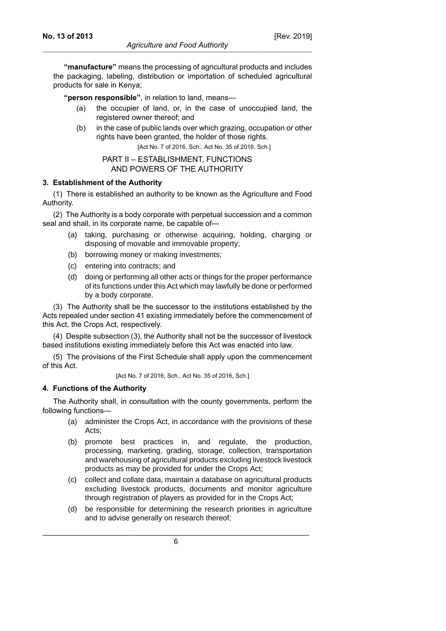**"manufacture"** means the processing of agricultural products and includes the packaging, labeling, distribution or importation of scheduled agricultural products for sale in Kenya;

**"person responsible"**, in relation to land, means—

- (a) the occupier of land, or, in the case of unoccupied land, the registered owner thereof; and
- (b) in the case of public lands over which grazing, occupation or other rights have been granted, the holder of those rights.

[Act No. 7 of 2016, Sch., Act No. 35 of 2016, Sch.]

### PART II – ESTABLISHMENT, FUNCTIONS AND POWERS OF THE AUTHORITY

### **3. Establishment of the Authority**

(1) There is established an authority to be known as the Agriculture and Food Authority.

(2) The Authority is a body corporate with perpetual succession and a common seal and shall, in its corporate name, be capable of—

- (a) taking, purchasing or otherwise acquiring, holding, charging or disposing of movable and immovable property;
- (b) borrowing money or making investments;
- (c) entering into contracts; and
- (d) doing or performing all other acts or things for the proper performance of its functions under this Act which may lawfully be done or performed by a body corporate.

(3) The Authority shall be the successor to the institutions established by the Acts repealed under section 41 existing immediately before the commencement of this Act, the Crops Act, respectively.

(4) Despite subsection (3), the Authority shall not be the successor of livestock based institutions existing immediately before this Act was enacted into law.

(5) The provisions of the First Schedule shall apply upon the commencement of this Act.

[Act No. 7 of 2016, Sch., Act No. 35 of 2016, Sch.]

## **4. Functions of the Authority**

The Authority shall, in consultation with the county governments, perform the following functions—

- (a) administer the Crops Act, in accordance with the provisions of these Acts;
- (b) promote best practices in, and regulate, the production, processing, marketing, grading, storage, collection, transportation and warehousing of agricultural products excluding livestock livestock products as may be provided for under the Crops Act;
- (c) collect and collate data, maintain a database on agricultural products excluding livestock products, documents and monitor agriculture through registration of players as provided for in the Crops Act;
- (d) be responsible for determining the research priorities in agriculture and to advise generally on research thereof;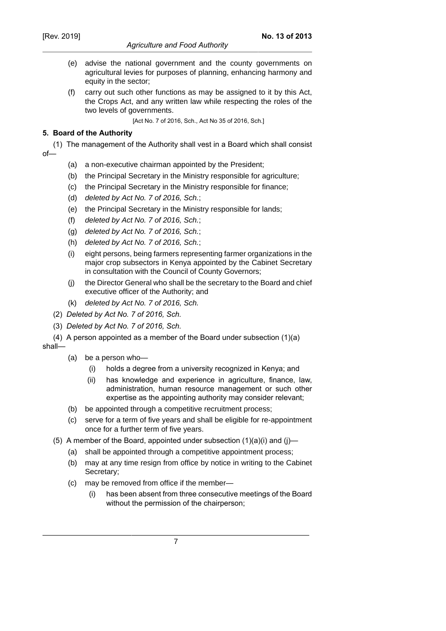## *Agriculture and Food Authority*

- (e) advise the national government and the county governments on agricultural levies for purposes of planning, enhancing harmony and equity in the sector;
- (f) carry out such other functions as may be assigned to it by this Act, the Crops Act, and any written law while respecting the roles of the two levels of governments.

[Act No. 7 of 2016, Sch., Act No 35 of 2016, Sch.]

## **5. Board of the Authority**

(1) The management of the Authority shall vest in a Board which shall consist of—

- (a) a non-executive chairman appointed by the President;
- (b) the Principal Secretary in the Ministry responsible for agriculture;
- (c) the Principal Secretary in the Ministry responsible for finance;
- (d) deleted by Act No. 7 of 2016, Sch.;
- (e) the Principal Secretary in the Ministry responsible for lands;
- (f) deleted by Act No. 7 of 2016, Sch.;
- (g) deleted by Act No. 7 of 2016, Sch.;
- (h) deleted by Act No. 7 of 2016, Sch.;
- (i) eight persons, being farmers representing farmer organizations in the major crop subsectors in Kenya appointed by the Cabinet Secretary in consultation with the Council of County Governors;
- (j) the Director General who shall be the secretary to the Board and chief executive officer of the Authority; and
- (k) deleted by Act No. 7 of 2016, Sch.
- (2) *Deleted by Act No. 7 of 2016, Sch.*
- (3) *Deleted by Act No. 7 of 2016, Sch.*

(4) A person appointed as a member of the Board under subsection (1)(a) shall—

- (a) be a person who—
	- (i) holds a degree from a university recognized in Kenya; and
	- (ii) has knowledge and experience in agriculture, finance, law, administration, human resource management or such other expertise as the appointing authority may consider relevant;
- (b) be appointed through a competitive recruitment process;
- (c) serve for a term of five years and shall be eligible for re-appointment once for a further term of five years.
- (5) A member of the Board, appointed under subsection  $(1)(a)(i)$  and  $(i)$ 
	- (a) shall be appointed through a competitive appointment process;
	- (b) may at any time resign from office by notice in writing to the Cabinet Secretary;
	- (c) may be removed from office if the member—
		- (i) has been absent from three consecutive meetings of the Board without the permission of the chairperson;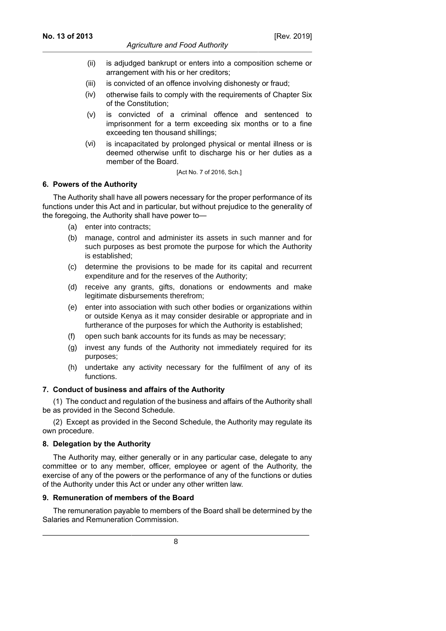- (ii) is adjudged bankrupt or enters into a composition scheme or arrangement with his or her creditors;
- (iii) is convicted of an offence involving dishonesty or fraud;
- (iv) otherwise fails to comply with the requirements of Chapter Six of the Constitution;
- (v) is convicted of a criminal offence and sentenced to imprisonment for a term exceeding six months or to a fine exceeding ten thousand shillings;
- (vi) is incapacitated by prolonged physical or mental illness or is deemed otherwise unfit to discharge his or her duties as a member of the Board.

[Act No. 7 of 2016, Sch.]

### **6. Powers of the Authority**

The Authority shall have all powers necessary for the proper performance of its functions under this Act and in particular, but without prejudice to the generality of the foregoing, the Authority shall have power to—

- (a) enter into contracts;
- (b) manage, control and administer its assets in such manner and for such purposes as best promote the purpose for which the Authority is established;
- (c) determine the provisions to be made for its capital and recurrent expenditure and for the reserves of the Authority;
- (d) receive any grants, gifts, donations or endowments and make legitimate disbursements therefrom;
- (e) enter into association with such other bodies or organizations within or outside Kenya as it may consider desirable or appropriate and in furtherance of the purposes for which the Authority is established;
- (f) open such bank accounts for its funds as may be necessary;
- (g) invest any funds of the Authority not immediately required for its purposes;
- (h) undertake any activity necessary for the fulfilment of any of its functions.

## **7. Conduct of business and affairs of the Authority**

(1) The conduct and regulation of the business and affairs of the Authority shall be as provided in the Second Schedule.

(2) Except as provided in the Second Schedule, the Authority may regulate its own procedure.

## **8. Delegation by the Authority**

The Authority may, either generally or in any particular case, delegate to any committee or to any member, officer, employee or agent of the Authority, the exercise of any of the powers or the performance of any of the functions or duties of the Authority under this Act or under any other written law.

## **9. Remuneration of members of the Board**

The remuneration payable to members of the Board shall be determined by the Salaries and Remuneration Commission.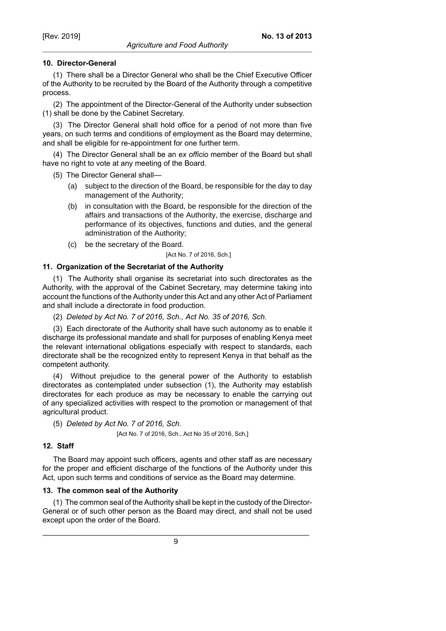(1) There shall be a Director General who shall be the Chief Executive Officer of the Authority to be recruited by the Board of the Authority through a competitive process.

(2) The appointment of the Director-General of the Authority under subsection (1) shall be done by the Cabinet Secretary.

(3) The Director General shall hold office for a period of not more than five years, on such terms and conditions of employment as the Board may determine, and shall be eligible for re-appointment for one further term.

(4) The Director General shall be an *ex officio* member of the Board but shall have no right to vote at any meeting of the Board.

(5) The Director General shall—

- (a) subject to the direction of the Board, be responsible for the day to day management of the Authority;
- (b) in consultation with the Board, be responsible for the direction of the affairs and transactions of the Authority, the exercise, discharge and performance of its objectives, functions and duties, and the general administration of the Authority;
- (c) be the secretary of the Board.

#### [Act No. 7 of 2016, Sch.]

## **11. Organization of the Secretariat of the Authority**

(1) The Authority shall organise its secretariat into such directorates as the Authority, with the approval of the Cabinet Secretary, may determine taking into account the functions of the Authority under this Act and any other Act of Parliament and shall include a directorate in food production.

(2) *Deleted by Act No. 7 of 2016, Sch., Act No. 35 of 2016, Sch.*

(3) Each directorate of the Authority shall have such autonomy as to enable it discharge its professional mandate and shall for purposes of enabling Kenya meet the relevant international obligations especially with respect to standards, each directorate shall be the recognized entity to represent Kenya in that behalf as the competent authority.

(4) Without prejudice to the general power of the Authority to establish directorates as contemplated under subsection (1), the Authority may establish directorates for each produce as may be necessary to enable the carrying out of any specialized activities with respect to the promotion or management of that agricultural product.

(5) *Deleted by Act No. 7 of 2016, Sch.*

[Act No. 7 of 2016, Sch., Act No 35 of 2016, Sch,]

## **12. Staff**

The Board may appoint such officers, agents and other staff as are necessary for the proper and efficient discharge of the functions of the Authority under this Act, upon such terms and conditions of service as the Board may determine.

## **13. The common seal of the Authority**

(1) The common seal of the Authority shall be kept in the custody of the Director-General or of such other person as the Board may direct, and shall not be used except upon the order of the Board.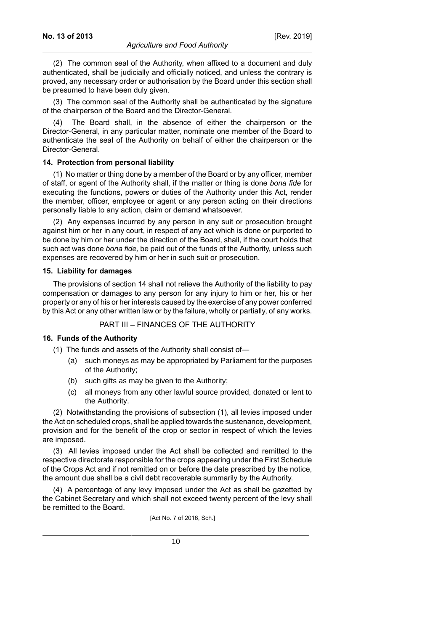[Rev. 2019]

authenticated, shall be judicially and officially noticed, and unless the contrary is proved, any necessary order or authorisation by the Board under this section shall be presumed to have been duly given.

(3) The common seal of the Authority shall be authenticated by the signature of the chairperson of the Board and the Director-General.

(4) The Board shall, in the absence of either the chairperson or the Director-General, in any particular matter, nominate one member of the Board to authenticate the seal of the Authority on behalf of either the chairperson or the Director-General.

### **14. Protection from personal liability**

(1) No matter or thing done by a member of the Board or by any officer, member of staff, or agent of the Authority shall, if the matter or thing is done *bona fide* for executing the functions, powers or duties of the Authority under this Act, render the member, officer, employee or agent or any person acting on their directions personally liable to any action, claim or demand whatsoever.

(2) Any expenses incurred by any person in any suit or prosecution brought against him or her in any court, in respect of any act which is done or purported to be done by him or her under the direction of the Board, shall, if the court holds that such act was done *bona fide,* be paid out of the funds of the Authority, unless such expenses are recovered by him or her in such suit or prosecution.

### **15. Liability for damages**

The provisions of section 14 shall not relieve the Authority of the liability to pay compensation or damages to any person for any injury to him or her, his or her property or any of his or her interests caused by the exercise of any power conferred by this Act or any other written law or by the failure, wholly or partially, of any works.

## PART III – FINANCES OF THE AUTHORITY

## **16. Funds of the Authority**

- (1) The funds and assets of the Authority shall consist of—
	- (a) such moneys as may be appropriated by Parliament for the purposes of the Authority;
	- (b) such gifts as may be given to the Authority;
	- (c) all moneys from any other lawful source provided, donated or lent to the Authority.

(2) Notwithstanding the provisions of subsection (1), all levies imposed under the Act on scheduled crops, shall be applied towards the sustenance, development, provision and for the benefit of the crop or sector in respect of which the levies are imposed.

(3) All levies imposed under the Act shall be collected and remitted to the respective directorate responsible for the crops appearing under the First Schedule of the Crops Act and if not remitted on or before the date prescribed by the notice, the amount due shall be a civil debt recoverable summarily by the Authority.

(4) A percentage of any levy imposed under the Act as shall be gazetted by the Cabinet Secretary and which shall not exceed twenty percent of the levy shall be remitted to the Board.

[Act No. 7 of 2016, Sch.]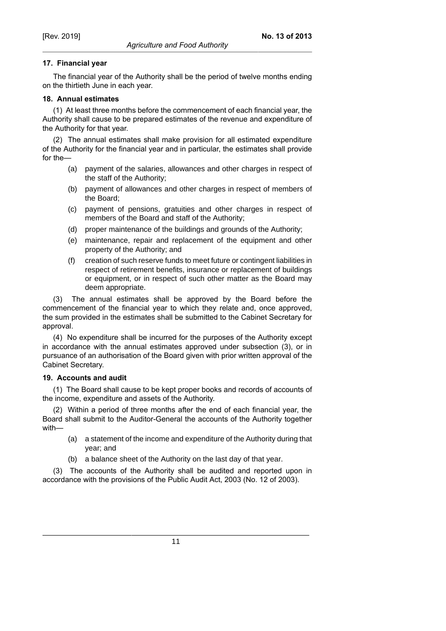## **17. Financial year**

The financial year of the Authority shall be the period of twelve months ending on the thirtieth June in each year.

## **18. Annual estimates**

(1) At least three months before the commencement of each financial year, the Authority shall cause to be prepared estimates of the revenue and expenditure of the Authority for that year.

(2) The annual estimates shall make provision for all estimated expenditure of the Authority for the financial year and in particular, the estimates shall provide for the—

- (a) payment of the salaries, allowances and other charges in respect of the staff of the Authority;
- (b) payment of allowances and other charges in respect of members of the Board;
- (c) payment of pensions, gratuities and other charges in respect of members of the Board and staff of the Authority;
- (d) proper maintenance of the buildings and grounds of the Authority;
- (e) maintenance, repair and replacement of the equipment and other property of the Authority; and
- (f) creation of such reserve funds to meet future or contingent liabilities in respect of retirement benefits, insurance or replacement of buildings or equipment, or in respect of such other matter as the Board may deem appropriate.

(3) The annual estimates shall be approved by the Board before the commencement of the financial year to which they relate and, once approved, the sum provided in the estimates shall be submitted to the Cabinet Secretary for approval.

(4) No expenditure shall be incurred for the purposes of the Authority except in accordance with the annual estimates approved under subsection (3), or in pursuance of an authorisation of the Board given with prior written approval of the Cabinet Secretary.

## **19. Accounts and audit**

(1) The Board shall cause to be kept proper books and records of accounts of the income, expenditure and assets of the Authority.

(2) Within a period of three months after the end of each financial year, the Board shall submit to the Auditor-General the accounts of the Authority together with—

- (a) a statement of the income and expenditure of the Authority during that year; and
- (b) a balance sheet of the Authority on the last day of that year.

(3) The accounts of the Authority shall be audited and reported upon in accordance with the provisions of the Public Audit Act, 2003 (No. 12 of 2003).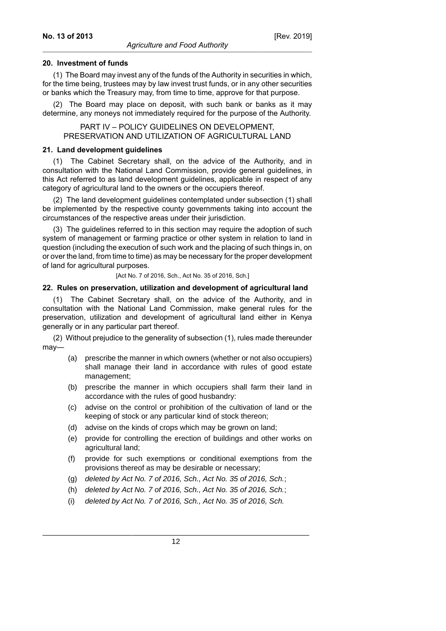### **20. Investment of funds**

(1) The Board may invest any of the funds of the Authority in securities in which, for the time being, trustees may by law invest trust funds, or in any other securities or banks which the Treasury may, from time to time, approve for that purpose.

(2) The Board may place on deposit, with such bank or banks as it may determine, any moneys not immediately required for the purpose of the Authority.

PART IV – POLICY GUIDELINES ON DEVELOPMENT, PRESERVATION AND UTILIZATION OF AGRICULTURAL LAND

### **21. Land development guidelines**

(1) The Cabinet Secretary shall, on the advice of the Authority, and in consultation with the National Land Commission, provide general guidelines, in this Act referred to as land development guidelines, applicable in respect of any category of agricultural land to the owners or the occupiers thereof.

(2) The land development guidelines contemplated under subsection (1) shall be implemented by the respective county governments taking into account the circumstances of the respective areas under their jurisdiction.

(3) The guidelines referred to in this section may require the adoption of such system of management or farming practice or other system in relation to land in question (including the execution of such work and the placing of such things in, on or over the land, from time to time) as may be necessary for the proper development of land for agricultural purposes.

[Act No. 7 of 2016, Sch., Act No. 35 of 2016, Sch.]

#### **22. Rules on preservation, utilization and development of agricultural land**

(1) The Cabinet Secretary shall, on the advice of the Authority, and in consultation with the National Land Commission, make general rules for the preservation, utilization and development of agricultural land either in Kenya generally or in any particular part thereof.

(2) Without prejudice to the generality of subsection (1), rules made thereunder may—

- (a) prescribe the manner in which owners (whether or not also occupiers) shall manage their land in accordance with rules of good estate management;
- (b) prescribe the manner in which occupiers shall farm their land in accordance with the rules of good husbandry:
- (c) advise on the control or prohibition of the cultivation of land or the keeping of stock or any particular kind of stock thereon;
- (d) advise on the kinds of crops which may be grown on land;
- (e) provide for controlling the erection of buildings and other works on agricultural land;
- (f) provide for such exemptions or conditional exemptions from the provisions thereof as may be desirable or necessary;
- (g) deleted by Act No. 7 of 2016, Sch., Act No. 35 of 2016, Sch.;
- (h) deleted by Act No. 7 of 2016, Sch., Act No. 35 of 2016, Sch.;
- (i) deleted by Act No. 7 of 2016, Sch., Act No. 35 of 2016, Sch.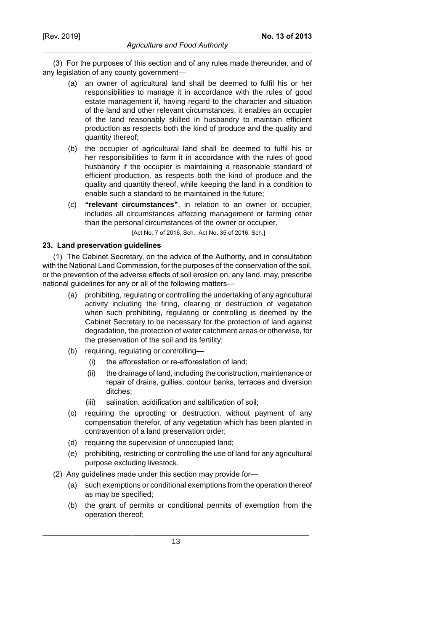(3) For the purposes of this section and of any rules made thereunder, and of any legislation of any county government—

- (a) an owner of agricultural land shall be deemed to fulfil his or her responsibilities to manage it in accordance with the rules of good estate management if, having regard to the character and situation of the land and other relevant circumstances, it enables an occupier of the land reasonably skilled in husbandry to maintain efficient production as respects both the kind of produce and the quality and quantity thereof;
- (b) the occupier of agricultural land shall be deemed to fulfil his or her responsibilities to farm it in accordance with the rules of good husbandry if the occupier is maintaining a reasonable standard of efficient production, as respects both the kind of produce and the quality and quantity thereof, while keeping the land in a condition to enable such a standard to be maintained in the future;
- (c) **"relevant circumstances"**, in relation to an owner or occupier, includes all circumstances affecting management or farming other than the personal circumstances of the owner or occupier.

[Act No. 7 of 2016, Sch., Act No. 35 of 2016, Sch.]

### **23. Land preservation guidelines**

(1) The Cabinet Secretary, on the advice of the Authority, and in consultation with the National Land Commission, for the purposes of the conservation of the soil, or the prevention of the adverse effects of soil erosion on, any land, may, prescribe national guidelines for any or all of the following matters—

- (a) prohibiting, regulating or controlling the undertaking of any agricultural activity including the firing, clearing or destruction of vegetation when such prohibiting, regulating or controlling is deemed by the Cabinet Secretary to be necessary for the protection of land against degradation, the protection of water catchment areas or otherwise, for the preservation of the soil and its fertility;
- (b) requiring, regulating or controlling—
	- (i) the afforestation or re-afforestation of land;
	- (ii) the drainage of land, including the construction, maintenance or repair of drains, gullies, contour banks, terraces and diversion ditches;
	- (iii) salination, acidification and saltification of soil;
- (c) requiring the uprooting or destruction, without payment of any compensation therefor, of any vegetation which has been planted in contravention of a land preservation order;
- (d) requiring the supervision of unoccupied land;
- (e) prohibiting, restricting or controlling the use of land for any agricultural purpose excluding livestock.
- (2) Any guidelines made under this section may provide for—
	- (a) such exemptions or conditional exemptions from the operation thereof as may be specified;
	- (b) the grant of permits or conditional permits of exemption from the operation thereof;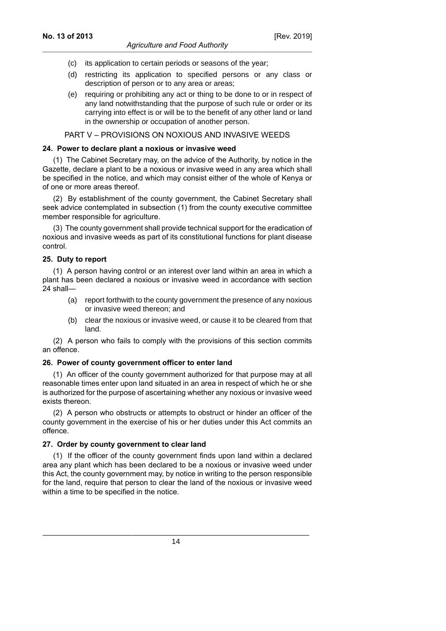- (c) its application to certain periods or seasons of the year;
- (d) restricting its application to specified persons or any class or description of person or to any area or areas;
- (e) requiring or prohibiting any act or thing to be done to or in respect of any land notwithstanding that the purpose of such rule or order or its carrying into effect is or will be to the benefit of any other land or land in the ownership or occupation of another person.

### PART V – PROVISIONS ON NOXIOUS AND INVASIVE WEEDS

### **24. Power to declare plant a noxious or invasive weed**

(1) The Cabinet Secretary may, on the advice of the Authority, by notice in the Gazette, declare a plant to be a noxious or invasive weed in any area which shall be specified in the notice, and which may consist either of the whole of Kenya or of one or more areas thereof.

(2) By establishment of the county government, the Cabinet Secretary shall seek advice contemplated in subsection (1) from the county executive committee member responsible for agriculture.

(3) The county government shall provide technical support for the eradication of noxious and invasive weeds as part of its constitutional functions for plant disease control.

### **25. Duty to report**

(1) A person having control or an interest over land within an area in which a plant has been declared a noxious or invasive weed in accordance with section 24 shall—

- (a) report forthwith to the county government the presence of any noxious or invasive weed thereon; and
- (b) clear the noxious or invasive weed, or cause it to be cleared from that land.

(2) A person who fails to comply with the provisions of this section commits an offence.

### **26. Power of county government officer to enter land**

(1) An officer of the county government authorized for that purpose may at all reasonable times enter upon land situated in an area in respect of which he or she is authorized for the purpose of ascertaining whether any noxious or invasive weed exists thereon.

(2) A person who obstructs or attempts to obstruct or hinder an officer of the county government in the exercise of his or her duties under this Act commits an offence.

## **27. Order by county government to clear land**

(1) If the officer of the county government finds upon land within a declared area any plant which has been declared to be a noxious or invasive weed under this Act, the county government may, by notice in writing to the person responsible for the land, require that person to clear the land of the noxious or invasive weed within a time to be specified in the notice.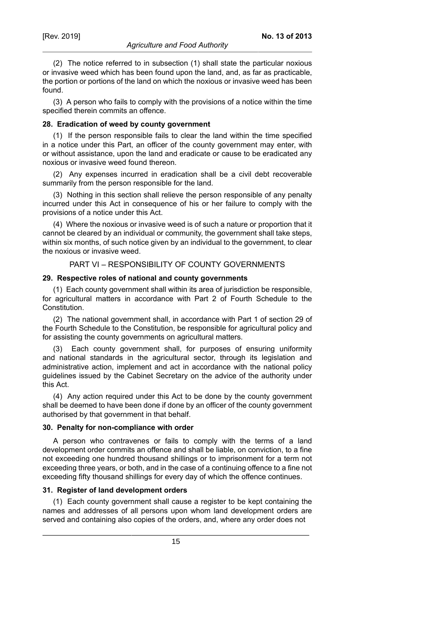(2) The notice referred to in subsection (1) shall state the particular noxious or invasive weed which has been found upon the land, and, as far as practicable, the portion or portions of the land on which the noxious or invasive weed has been found.

(3) A person who fails to comply with the provisions of a notice within the time specified therein commits an offence.

### **28. Eradication of weed by county government**

(1) If the person responsible fails to clear the land within the time specified in a notice under this Part, an officer of the county government may enter, with or without assistance, upon the land and eradicate or cause to be eradicated any noxious or invasive weed found thereon.

(2) Any expenses incurred in eradication shall be a civil debt recoverable summarily from the person responsible for the land.

(3) Nothing in this section shall relieve the person responsible of any penalty incurred under this Act in consequence of his or her failure to comply with the provisions of a notice under this Act.

(4) Where the noxious or invasive weed is of such a nature or proportion that it cannot be cleared by an individual or community, the government shall take steps, within six months, of such notice given by an individual to the government, to clear the noxious or invasive weed.

### PART VI – RESPONSIBILITY OF COUNTY GOVERNMENTS

#### **29. Respective roles of national and county governments**

(1) Each county government shall within its area of jurisdiction be responsible, for agricultural matters in accordance with Part 2 of Fourth Schedule to the Constitution.

(2) The national government shall, in accordance with Part 1 of section 29 of the Fourth Schedule to the Constitution, be responsible for agricultural policy and for assisting the county governments on agricultural matters.

(3) Each county government shall, for purposes of ensuring uniformity and national standards in the agricultural sector, through its legislation and administrative action, implement and act in accordance with the national policy guidelines issued by the Cabinet Secretary on the advice of the authority under this Act.

(4) Any action required under this Act to be done by the county government shall be deemed to have been done if done by an officer of the county government authorised by that government in that behalf.

#### **30. Penalty for non-compliance with order**

A person who contravenes or fails to comply with the terms of a land development order commits an offence and shall be liable, on conviction, to a fine not exceeding one hundred thousand shillings or to imprisonment for a term not exceeding three years, or both, and in the case of a continuing offence to a fine not exceeding fifty thousand shillings for every day of which the offence continues.

### **31. Register of land development orders**

(1) Each county government shall cause a register to be kept containing the names and addresses of all persons upon whom land development orders are served and containing also copies of the orders, and, where any order does not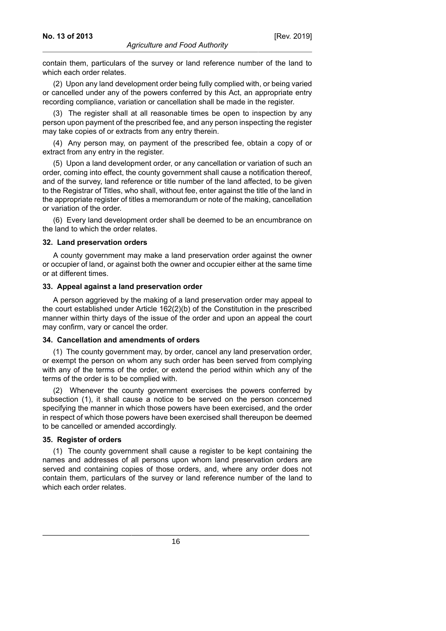contain them, particulars of the survey or land reference number of the land to which each order relates.

(2) Upon any land development order being fully complied with, or being varied or cancelled under any of the powers conferred by this Act, an appropriate entry recording compliance, variation or cancellation shall be made in the register.

(3) The register shall at all reasonable times be open to inspection by any person upon payment of the prescribed fee, and any person inspecting the register may take copies of or extracts from any entry therein.

(4) Any person may, on payment of the prescribed fee, obtain a copy of or extract from any entry in the register.

(5) Upon a land development order, or any cancellation or variation of such an order, coming into effect, the county government shall cause a notification thereof, and of the survey, land reference or title number of the land affected, to be given to the Registrar of Titles, who shall, without fee, enter against the title of the land in the appropriate register of titles a memorandum or note of the making, cancellation or variation of the order.

(6) Every land development order shall be deemed to be an encumbrance on the land to which the order relates.

#### **32. Land preservation orders**

A county government may make a land preservation order against the owner or occupier of land, or against both the owner and occupier either at the same time or at different times.

### **33. Appeal against a land preservation order**

A person aggrieved by the making of a land preservation order may appeal to the court established under Article 162(2)(b) of the Constitution in the prescribed manner within thirty days of the issue of the order and upon an appeal the court may confirm, vary or cancel the order.

#### **34. Cancellation and amendments of orders**

(1) The county government may, by order, cancel any land preservation order, or exempt the person on whom any such order has been served from complying with any of the terms of the order, or extend the period within which any of the terms of the order is to be complied with.

(2) Whenever the county government exercises the powers conferred by subsection (1), it shall cause a notice to be served on the person concerned specifying the manner in which those powers have been exercised, and the order in respect of which those powers have been exercised shall thereupon be deemed to be cancelled or amended accordingly.

### **35. Register of orders**

(1) The county government shall cause a register to be kept containing the names and addresses of all persons upon whom land preservation orders are served and containing copies of those orders, and, where any order does not contain them, particulars of the survey or land reference number of the land to which each order relates.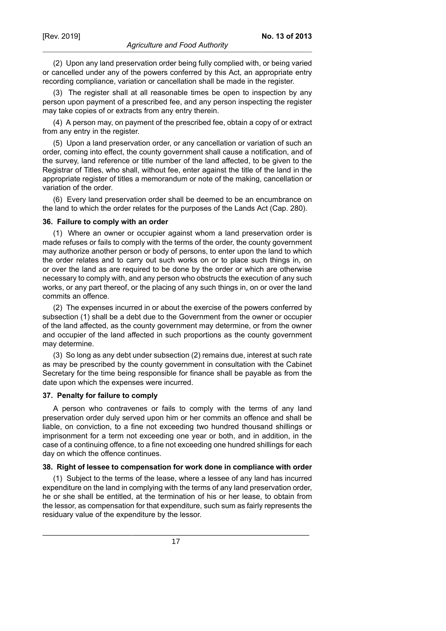**No. 13 of 2013**

(2) Upon any land preservation order being fully complied with, or being varied or cancelled under any of the powers conferred by this Act, an appropriate entry recording compliance, variation or cancellation shall be made in the register.

(3) The register shall at all reasonable times be open to inspection by any person upon payment of a prescribed fee, and any person inspecting the register may take copies of or extracts from any entry therein.

(4) A person may, on payment of the prescribed fee, obtain a copy of or extract from any entry in the register.

(5) Upon a land preservation order, or any cancellation or variation of such an order, coming into effect, the county government shall cause a notification, and of the survey, land reference or title number of the land affected, to be given to the Registrar of Titles, who shall, without fee, enter against the title of the land in the appropriate register of titles a memorandum or note of the making, cancellation or variation of the order.

(6) Every land preservation order shall be deemed to be an encumbrance on the land to which the order relates for the purposes of the Lands Act (Cap. 280).

#### **36. Failure to comply with an order**

(1) Where an owner or occupier against whom a land preservation order is made refuses or fails to comply with the terms of the order, the county government may authorize another person or body of persons, to enter upon the land to which the order relates and to carry out such works on or to place such things in, on or over the land as are required to be done by the order or which are otherwise necessary to comply with, and any person who obstructs the execution of any such works, or any part thereof, or the placing of any such things in, on or over the land commits an offence.

(2) The expenses incurred in or about the exercise of the powers conferred by subsection (1) shall be a debt due to the Government from the owner or occupier of the land affected, as the county government may determine, or from the owner and occupier of the land affected in such proportions as the county government may determine.

(3) So long as any debt under subsection (2) remains due, interest at such rate as may be prescribed by the county government in consultation with the Cabinet Secretary for the time being responsible for finance shall be payable as from the date upon which the expenses were incurred.

#### **37. Penalty for failure to comply**

A person who contravenes or fails to comply with the terms of any land preservation order duly served upon him or her commits an offence and shall be liable, on conviction, to a fine not exceeding two hundred thousand shillings or imprisonment for a term not exceeding one year or both, and in addition, in the case of a continuing offence, to a fine not exceeding one hundred shillings for each day on which the offence continues.

### **38. Right of lessee to compensation for work done in compliance with order**

(1) Subject to the terms of the lease, where a lessee of any land has incurred expenditure on the land in complying with the terms of any land preservation order, he or she shall be entitled, at the termination of his or her lease, to obtain from the lessor, as compensation for that expenditure, such sum as fairly represents the residuary value of the expenditure by the lessor.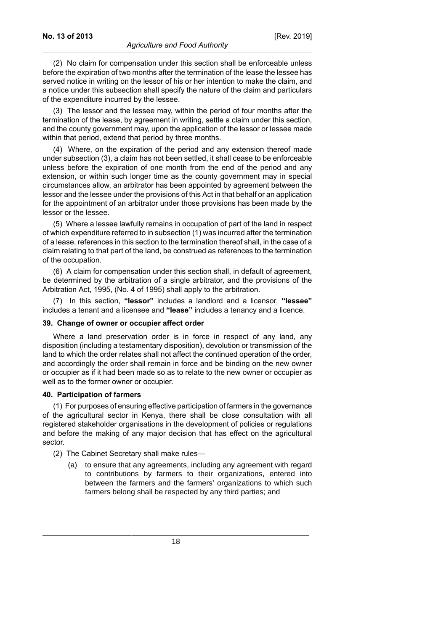(2) No claim for compensation under this section shall be enforceable unless before the expiration of two months after the termination of the lease the lessee has served notice in writing on the lessor of his or her intention to make the claim, and a notice under this subsection shall specify the nature of the claim and particulars of the expenditure incurred by the lessee.

(3) The lessor and the lessee may, within the period of four months after the termination of the lease, by agreement in writing, settle a claim under this section, and the county government may, upon the application of the lessor or lessee made within that period, extend that period by three months.

(4) Where, on the expiration of the period and any extension thereof made under subsection (3), a claim has not been settled, it shall cease to be enforceable unless before the expiration of one month from the end of the period and any extension, or within such longer time as the county government may in special circumstances allow, an arbitrator has been appointed by agreement between the lessor and the lessee under the provisions of this Act in that behalf or an application for the appointment of an arbitrator under those provisions has been made by the lessor or the lessee.

(5) Where a lessee lawfully remains in occupation of part of the land in respect of which expenditure referred to in subsection (1) was incurred after the termination of a lease, references in this section to the termination thereof shall, in the case of a claim relating to that part of the land, be construed as references to the termination of the occupation.

(6) A claim for compensation under this section shall, in default of agreement, be determined by the arbitration of a single arbitrator, and the provisions of the Arbitration Act, 1995, (No. 4 of 1995) shall apply to the arbitration.

(7) In this section, **"lessor"** includes a landlord and a licensor, **"lessee"** includes a tenant and a licensee and **"lease"** includes a tenancy and a licence.

### **39. Change of owner or occupier affect order**

Where a land preservation order is in force in respect of any land, any disposition (including a testamentary disposition), devolution or transmission of the land to which the order relates shall not affect the continued operation of the order, and accordingly the order shall remain in force and be binding on the new owner or occupier as if it had been made so as to relate to the new owner or occupier as well as to the former owner or occupier.

### **40. Participation of farmers**

(1) For purposes of ensuring effective participation of farmers in the governance of the agricultural sector in Kenya, there shall be close consultation with all registered stakeholder organisations in the development of policies or regulations and before the making of any major decision that has effect on the agricultural sector.

(2) The Cabinet Secretary shall make rules—

(a) to ensure that any agreements, including any agreement with regard to contributions by farmers to their organizations, entered into between the farmers and the farmers' organizations to which such farmers belong shall be respected by any third parties; and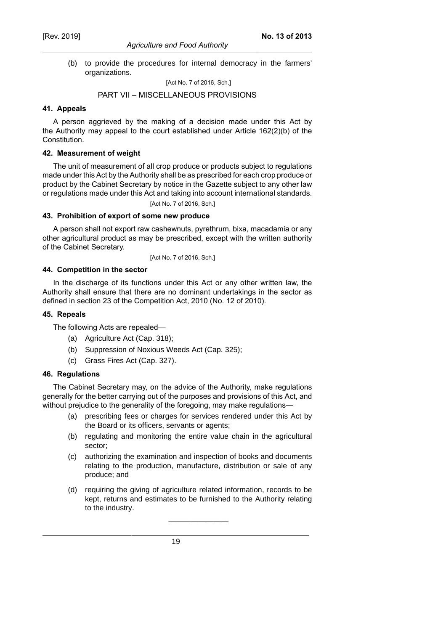### *Agriculture and Food Authority*

(b) to provide the procedures for internal democracy in the farmers' organizations.

[Act No. 7 of 2016, Sch.]

### PART VII – MISCELLANEOUS PROVISIONS

### **41. Appeals**

A person aggrieved by the making of a decision made under this Act by the Authority may appeal to the court established under Article 162(2)(b) of the Constitution.

## **42. Measurement of weight**

The unit of measurement of all crop produce or products subject to regulations made under this Act by the Authority shall be as prescribed for each crop produce or product by the Cabinet Secretary by notice in the Gazette subject to any other law or regulations made under this Act and taking into account international standards.

[Act No. 7 of 2016, Sch.]

### **43. Prohibition of export of some new produce**

A person shall not export raw cashewnuts, pyrethrum, bixa, macadamia or any other agricultural product as may be prescribed, except with the written authority of the Cabinet Secretary.

[Act No. 7 of 2016, Sch.]

## **44. Competition in the sector**

In the discharge of its functions under this Act or any other written law, the Authority shall ensure that there are no dominant undertakings in the sector as defined in section 23 of the Competition Act, 2010 (No. 12 of 2010).

### **45. Repeals**

The following Acts are repealed—

- (a) Agriculture Act (Cap. 318);
- (b) Suppression of Noxious Weeds Act (Cap. 325);
- (c) Grass Fires Act (Cap. 327).

### **46. Regulations**

The Cabinet Secretary may, on the advice of the Authority, make regulations generally for the better carrying out of the purposes and provisions of this Act, and without prejudice to the generality of the foregoing, may make regulations—

- (a) prescribing fees or charges for services rendered under this Act by the Board or its officers, servants or agents;
- (b) regulating and monitoring the entire value chain in the agricultural sector;
- (c) authorizing the examination and inspection of books and documents relating to the production, manufacture, distribution or sale of any produce; and
- (d) requiring the giving of agriculture related information, records to be kept, returns and estimates to be furnished to the Authority relating to the industry.

————————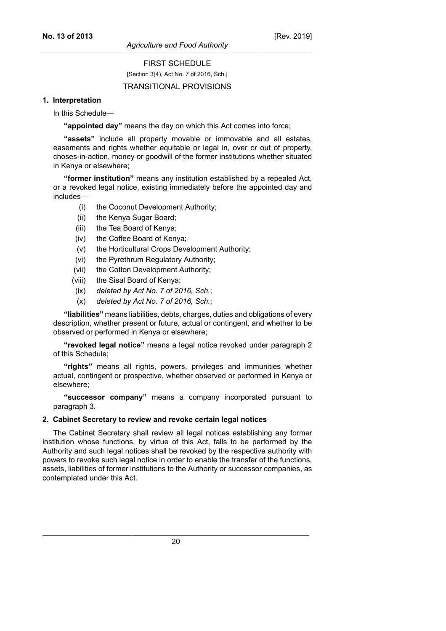## FIRST SCHEDULE

[Section 3(4), Act No. 7 of 2016, Sch.]

### TRANSITIONAL PROVISIONS

### **1. Interpretation**

In this Schedule—

**"appointed day"** means the day on which this Act comes into force;

**"assets"** include all property movable or immovable and all estates, easements and rights whether equitable or legal in, over or out of property, choses-in-action, money or goodwill of the former institutions whether situated in Kenya or elsewhere;

**"former institution"** means any institution established by a repealed Act, or a revoked legal notice, existing immediately before the appointed day and includes—

- (i) the Coconut Development Authority;
- (ii) the Kenya Sugar Board;
- (iii) the Tea Board of Kenya;
- (iv) the Coffee Board of Kenya;
- (v) the Horticultural Crops Development Authority;
- (vi) the Pyrethrum Regulatory Authority;
- (vii) the Cotton Development Authority;
- (viii) the Sisal Board of Kenya;
- (ix) *deleted by Act No. 7 of 2016, Sch.*;
- (x) *deleted by Act No. 7 of 2016, Sch.*;

**"liabilities"** means liabilities, debts, charges, duties and obligations of every description, whether present or future, actual or contingent, and whether to be observed or performed in Kenya or elsewhere;

**"revoked legal notice"** means a legal notice revoked under paragraph 2 of this Schedule;

**"rights"** means all rights, powers, privileges and immunities whether actual, contingent or prospective, whether observed or performed in Kenya or elsewhere;

**"successor company"** means a company incorporated pursuant to paragraph 3.

### **2. Cabinet Secretary to review and revoke certain legal notices**

The Cabinet Secretary shall review all legal notices establishing any former institution whose functions, by virtue of this Act, falls to be performed by the Authority and such legal notices shall be revoked by the respective authority with powers to revoke such legal notice in order to enable the transfer of the functions, assets, liabilities of former institutions to the Authority or successor companies, as contemplated under this Act.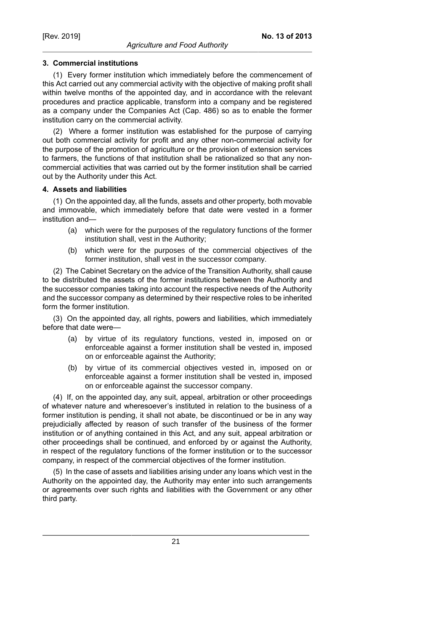## **3. Commercial institutions**

(1) Every former institution which immediately before the commencement of this Act carried out any commercial activity with the objective of making profit shall within twelve months of the appointed day, and in accordance with the relevant procedures and practice applicable, transform into a company and be registered as a company under the Companies Act (Cap. 486) so as to enable the former institution carry on the commercial activity.

(2) Where a former institution was established for the purpose of carrying out both commercial activity for profit and any other non-commercial activity for the purpose of the promotion of agriculture or the provision of extension services to farmers, the functions of that institution shall be rationalized so that any noncommercial activities that was carried out by the former institution shall be carried out by the Authority under this Act.

## **4. Assets and liabilities**

(1) On the appointed day, all the funds, assets and other property, both movable and immovable, which immediately before that date were vested in a former institution and—

- (a) which were for the purposes of the regulatory functions of the former institution shall, vest in the Authority;
- (b) which were for the purposes of the commercial objectives of the former institution, shall vest in the successor company.

(2) The Cabinet Secretary on the advice of the Transition Authority, shall cause to be distributed the assets of the former institutions between the Authority and the successor companies taking into account the respective needs of the Authority and the successor company as determined by their respective roles to be inherited form the former institution.

(3) On the appointed day, all rights, powers and liabilities, which immediately before that date were—

- (a) by virtue of its regulatory functions, vested in, imposed on or enforceable against a former institution shall be vested in, imposed on or enforceable against the Authority;
- (b) by virtue of its commercial objectives vested in, imposed on or enforceable against a former institution shall be vested in, imposed on or enforceable against the successor company.

(4) If, on the appointed day, any suit, appeal, arbitration or other proceedings of whatever nature and wheresoever's instituted in relation to the business of a former institution is pending, it shall not abate, be discontinued or be in any way prejudicially affected by reason of such transfer of the business of the former institution or of anything contained in this Act, and any suit, appeal arbitration or other proceedings shall be continued, and enforced by or against the Authority, in respect of the regulatory functions of the former institution or to the successor company, in respect of the commercial objectives of the former institution.

(5) In the case of assets and liabilities arising under any loans which vest in the Authority on the appointed day, the Authority may enter into such arrangements or agreements over such rights and liabilities with the Government or any other third party.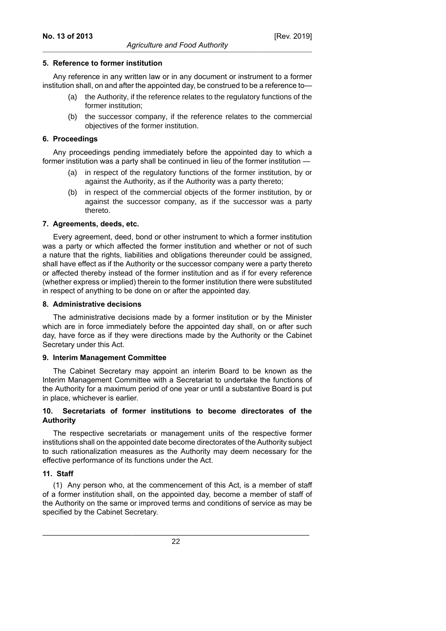## **5. Reference to former institution**

Any reference in any written law or in any document or instrument to a former institution shall, on and after the appointed day, be construed to be a reference to—

- (a) the Authority, if the reference relates to the regulatory functions of the former institution;
- (b) the successor company, if the reference relates to the commercial objectives of the former institution.

### **6. Proceedings**

Any proceedings pending immediately before the appointed day to which a former institution was a party shall be continued in lieu of the former institution —

- (a) in respect of the regulatory functions of the former institution, by or against the Authority, as if the Authority was a party thereto;
- (b) in respect of the commercial objects of the former institution, by or against the successor company, as if the successor was a party thereto.

### **7. Agreements, deeds, etc.**

Every agreement, deed, bond or other instrument to which a former institution was a party or which affected the former institution and whether or not of such a nature that the rights, liabilities and obligations thereunder could be assigned, shall have effect as if the Authority or the successor company were a party thereto or affected thereby instead of the former institution and as if for every reference (whether express or implied) therein to the former institution there were substituted in respect of anything to be done on or after the appointed day.

### **8. Administrative decisions**

The administrative decisions made by a former institution or by the Minister which are in force immediately before the appointed day shall, on or after such day, have force as if they were directions made by the Authority or the Cabinet Secretary under this Act.

### **9. Interim Management Committee**

The Cabinet Secretary may appoint an interim Board to be known as the Interim Management Committee with a Secretariat to undertake the functions of the Authority for a maximum period of one year or until a substantive Board is put in place, whichever is earlier.

### **10. Secretariats of former institutions to become directorates of the Authority**

The respective secretariats or management units of the respective former institutions shall on the appointed date become directorates of the Authority subject to such rationalization measures as the Authority may deem necessary for the effective performance of its functions under the Act.

## **11. Staff**

(1) Any person who, at the commencement of this Act, is a member of staff of a former institution shall, on the appointed day, become a member of staff of the Authority on the same or improved terms and conditions of service as may be specified by the Cabinet Secretary.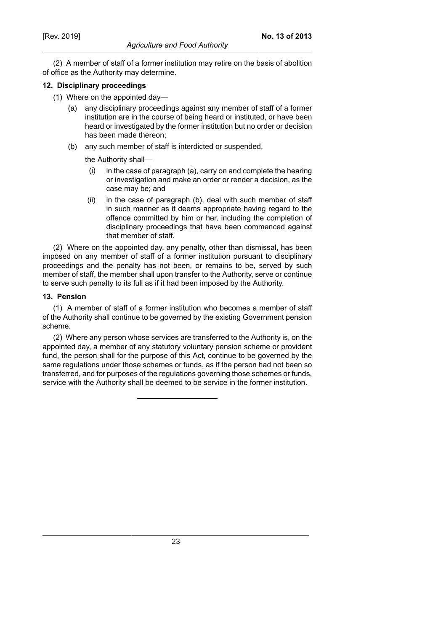(2) A member of staff of a former institution may retire on the basis of abolition of office as the Authority may determine.

## **12. Disciplinary proceedings**

- (1) Where on the appointed day—
	- (a) any disciplinary proceedings against any member of staff of a former institution are in the course of being heard or instituted, or have been heard or investigated by the former institution but no order or decision has been made thereon;
	- (b) any such member of staff is interdicted or suspended,

the Authority shall—

- $(i)$  in the case of paragraph  $(a)$ , carry on and complete the hearing or investigation and make an order or render a decision, as the case may be; and
- (ii) in the case of paragraph (b), deal with such member of staff in such manner as it deems appropriate having regard to the offence committed by him or her, including the completion of disciplinary proceedings that have been commenced against that member of staff.

(2) Where on the appointed day, any penalty, other than dismissal, has been imposed on any member of staff of a former institution pursuant to disciplinary proceedings and the penalty has not been, or remains to be, served by such member of staff, the member shall upon transfer to the Authority, serve or continue to serve such penalty to its full as if it had been imposed by the Authority.

### **13. Pension**

(1) A member of staff of a former institution who becomes a member of staff of the Authority shall continue to be governed by the existing Government pension scheme.

(2) Where any person whose services are transferred to the Authority is, on the appointed day, a member of any statutory voluntary pension scheme or provident fund, the person shall for the purpose of this Act, continue to be governed by the same regulations under those schemes or funds, as if the person had not been so transferred, and for purposes of the regulations governing those schemes or funds, service with the Authority shall be deemed to be service in the former institution.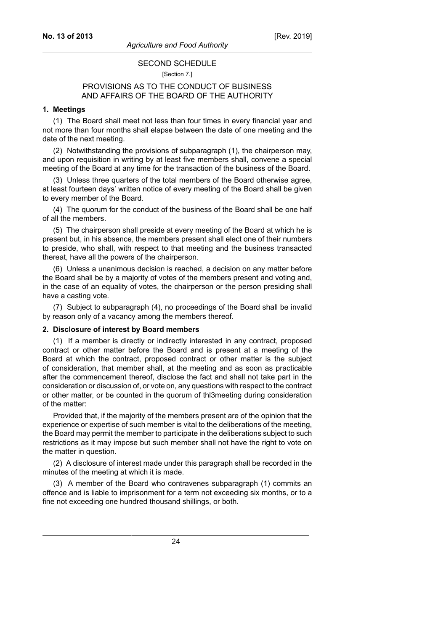## SECOND SCHEDULE [Section 7.]

## PROVISIONS AS TO THE CONDUCT OF BUSINESS AND AFFAIRS OF THE BOARD OF THE AUTHORITY

### **1. Meetings**

(1) The Board shall meet not less than four times in every financial year and not more than four months shall elapse between the date of one meeting and the date of the next meeting.

(2) Notwithstanding the provisions of subparagraph (1), the chairperson may, and upon requisition in writing by at least five members shall, convene a special meeting of the Board at any time for the transaction of the business of the Board.

(3) Unless three quarters of the total members of the Board otherwise agree, at least fourteen days' written notice of every meeting of the Board shall be given to every member of the Board.

(4) The quorum for the conduct of the business of the Board shall be one half of all the members.

(5) The chairperson shall preside at every meeting of the Board at which he is present but, in his absence, the members present shall elect one of their numbers to preside, who shall, with respect to that meeting and the business transacted thereat, have all the powers of the chairperson.

(6) Unless a unanimous decision is reached, a decision on any matter before the Board shall be by a majority of votes of the members present and voting and, in the case of an equality of votes, the chairperson or the person presiding shall have a casting vote.

(7) Subject to subparagraph (4), no proceedings of the Board shall be invalid by reason only of a vacancy among the members thereof.

#### **2. Disclosure of interest by Board members**

(1) If a member is directly or indirectly interested in any contract, proposed contract or other matter before the Board and is present at a meeting of the Board at which the contract, proposed contract or other matter is the subject of consideration, that member shall, at the meeting and as soon as practicable after the commencement thereof, disclose the fact and shall not take part in the consideration or discussion of, or vote on, any questions with respect to the contract or other matter, or be counted in the quorum of thl3meeting during consideration of the matter:

Provided that, if the majority of the members present are of the opinion that the experience or expertise of such member is vital to the deliberations of the meeting, the Board may permit the member to participate in the deliberations subject to such restrictions as it may impose but such member shall not have the right to vote on the matter in question.

(2) A disclosure of interest made under this paragraph shall be recorded in the minutes of the meeting at which it is made.

(3) A member of the Board who contravenes subparagraph (1) commits an offence and is liable to imprisonment for a term not exceeding six months, or to a fine not exceeding one hundred thousand shillings, or both.